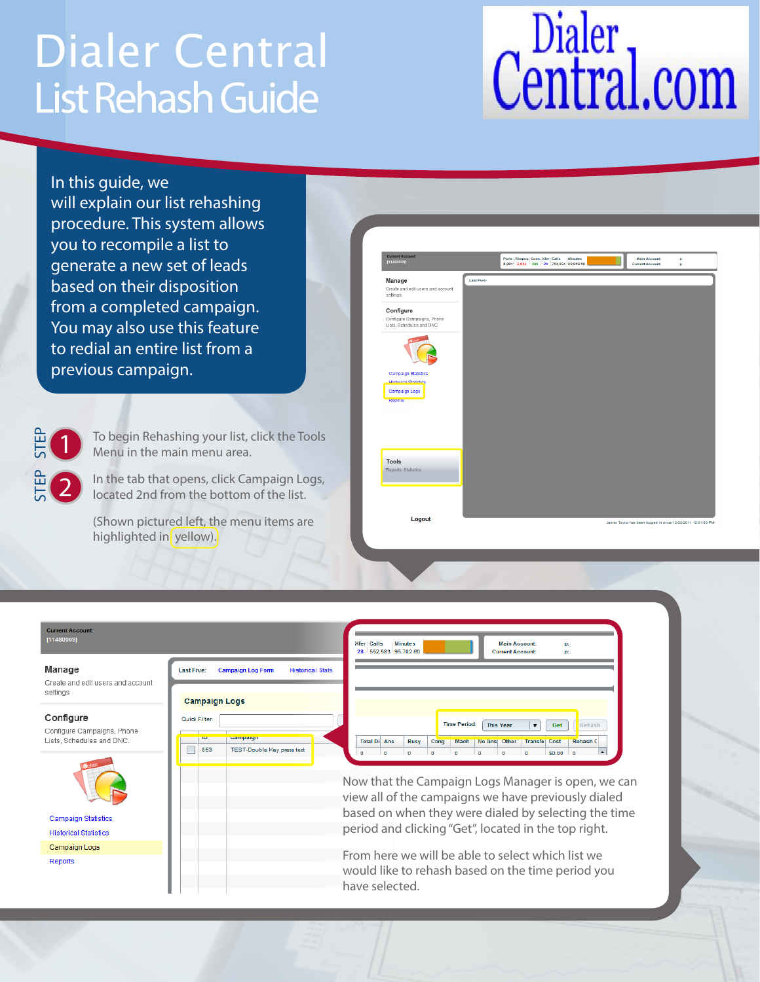## List Rehash Guide Dialer Central

## Dialer<br>Central.com

In this guide, we will explain our list rehashing procedure. This system allows you to recompile a list to generate a new set of leads based on their disposition from a completed campaign. You may also use this feature to redial an entire list from a previous campaign.

STEP 1

STEP 2 To begin Rehashing your list, click the Tools Menu in the main menu area.

In the tab that opens, click Campaign Logs, located 2nd from the bottom of the list.

(Shown pictured left, the menu items are highlighted in yellow).



| <b>Current Account:</b><br>[11480009]                   | <b>Xfer Calls</b><br><b>Minutes</b><br><b>Main Account:</b><br>D.<br>552.583 95.702.60<br><b>Current Account:</b><br>28<br>D.                                                                                                             |
|---------------------------------------------------------|-------------------------------------------------------------------------------------------------------------------------------------------------------------------------------------------------------------------------------------------|
| Manage                                                  | <b>Last Five:</b><br><b>Campaign Log Form</b><br><b>Historical Stats</b>                                                                                                                                                                  |
| Create and edit users and account<br>settings.          | <b>Campaign Logs</b>                                                                                                                                                                                                                      |
| Configure                                               | Quick Filter:<br><b>Time Period:</b><br><b>This Year</b><br>Get<br>Rehash<br>$\overline{\phantom{a}}$                                                                                                                                     |
| Configure Campaigns, Phone<br>Lists, Schedules and DNC. | <b>Campaign</b><br>ıυ<br><b>Total Di Ans</b><br>No Ans  Other<br><b>Transfel Cost</b><br><b>Rehash C</b><br>Busy<br>Cong<br><b>Mach</b>                                                                                                   |
|                                                         | 853<br><b>TEST-Double Key press test</b><br>$\Omega$<br><b>SO.00</b><br>$\Omega$<br>$\blacktriangle$<br>$\Omega$<br>$\Omega$<br>Now that the Campaign Logs Manager is open, we can<br>view all of the campaigns we have previously dialed |
| <b>Campaign Statistics</b>                              | based on when they were dialed by selecting the time                                                                                                                                                                                      |
| <b>Historical Statistics</b>                            | period and clicking "Get", located in the top right.                                                                                                                                                                                      |
| Campaign Logs                                           |                                                                                                                                                                                                                                           |
| Reports                                                 | From here we will be able to select which list we<br>would like to rehash based on the time period you<br>have selected.                                                                                                                  |